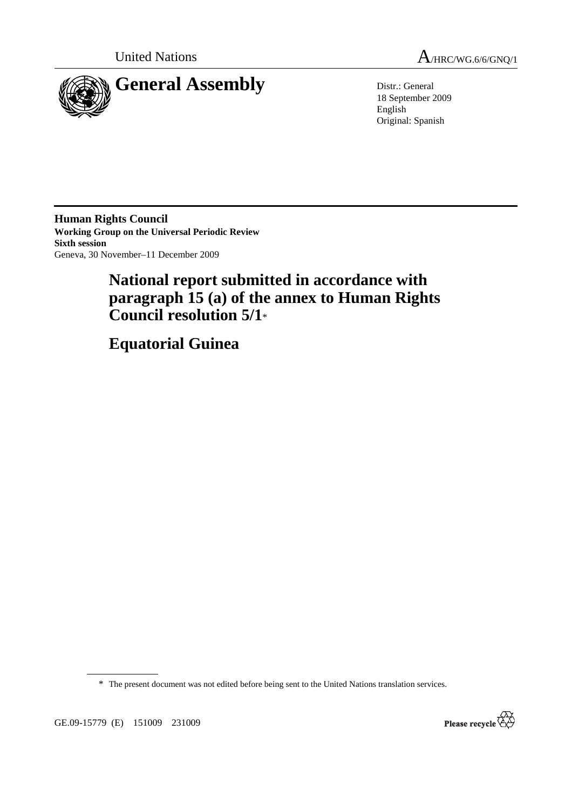



18 September 2009 English Original: Spanish

**Human Rights Council Working Group on the Universal Periodic Review Sixth session**  Geneva, 30 November–11 December 2009

# **National report submitted in accordance with paragraph 15 (a) of the annex to Human Rights Council resolution 5/1**\*

 **Equatorial Guinea** 

\* The present document was not edited before being sent to the United Nations translation services.

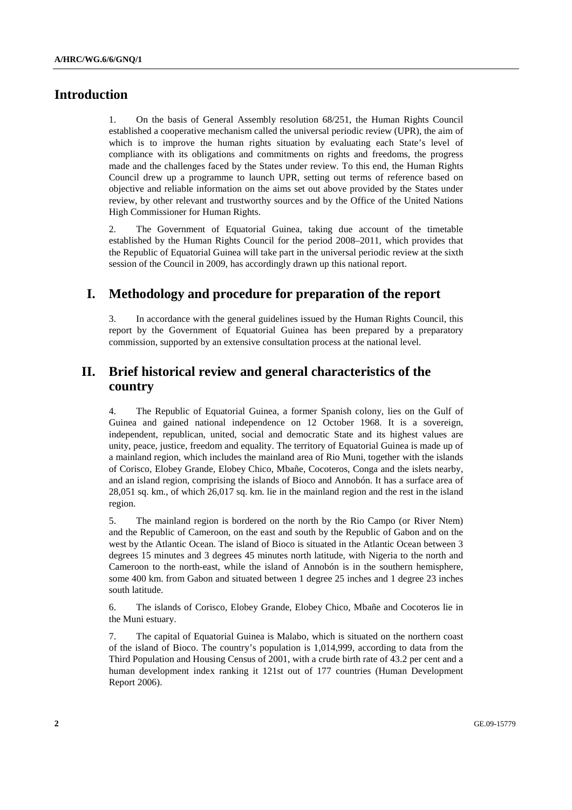# **Introduction**

1. On the basis of General Assembly resolution 68/251, the Human Rights Council established a cooperative mechanism called the universal periodic review (UPR), the aim of which is to improve the human rights situation by evaluating each State's level of compliance with its obligations and commitments on rights and freedoms, the progress made and the challenges faced by the States under review. To this end, the Human Rights Council drew up a programme to launch UPR, setting out terms of reference based on objective and reliable information on the aims set out above provided by the States under review, by other relevant and trustworthy sources and by the Office of the United Nations High Commissioner for Human Rights.

2. The Government of Equatorial Guinea, taking due account of the timetable established by the Human Rights Council for the period 2008–2011, which provides that the Republic of Equatorial Guinea will take part in the universal periodic review at the sixth session of the Council in 2009, has accordingly drawn up this national report.

# **I. Methodology and procedure for preparation of the report**

3. In accordance with the general guidelines issued by the Human Rights Council, this report by the Government of Equatorial Guinea has been prepared by a preparatory commission, supported by an extensive consultation process at the national level.

# **II. Brief historical review and general characteristics of the country**

4. The Republic of Equatorial Guinea, a former Spanish colony, lies on the Gulf of Guinea and gained national independence on 12 October 1968. It is a sovereign, independent, republican, united, social and democratic State and its highest values are unity, peace, justice, freedom and equality. The territory of Equatorial Guinea is made up of a mainland region, which includes the mainland area of Rio Muni, together with the islands of Corisco, Elobey Grande, Elobey Chico, Mbañe, Cocoteros, Conga and the islets nearby, and an island region, comprising the islands of Bioco and Annobón. It has a surface area of 28,051 sq. km., of which 26,017 sq. km. lie in the mainland region and the rest in the island region.

5. The mainland region is bordered on the north by the Rio Campo (or River Ntem) and the Republic of Cameroon, on the east and south by the Republic of Gabon and on the west by the Atlantic Ocean. The island of Bioco is situated in the Atlantic Ocean between 3 degrees 15 minutes and 3 degrees 45 minutes north latitude, with Nigeria to the north and Cameroon to the north-east, while the island of Annobón is in the southern hemisphere, some 400 km. from Gabon and situated between 1 degree 25 inches and 1 degree 23 inches south latitude.

6. The islands of Corisco, Elobey Grande, Elobey Chico, Mbañe and Cocoteros lie in the Muni estuary.

7. The capital of Equatorial Guinea is Malabo, which is situated on the northern coast of the island of Bioco. The country's population is 1,014,999, according to data from the Third Population and Housing Census of 2001, with a crude birth rate of 43.2 per cent and a human development index ranking it 121st out of 177 countries (Human Development Report 2006).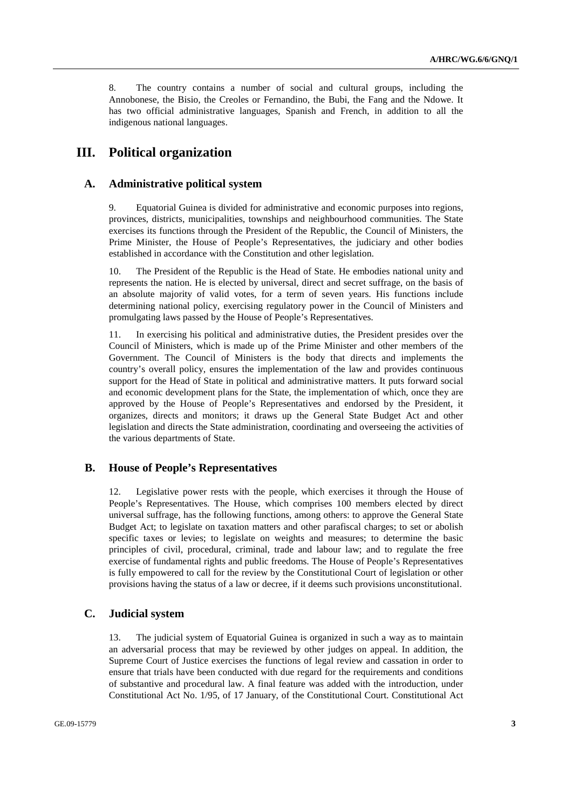8. The country contains a number of social and cultural groups, including the Annobonese, the Bisio, the Creoles or Fernandino, the Bubi, the Fang and the Ndowe. It has two official administrative languages, Spanish and French, in addition to all the indigenous national languages.

# **III. Political organization**

### **A. Administrative political system**

9. Equatorial Guinea is divided for administrative and economic purposes into regions, provinces, districts, municipalities, townships and neighbourhood communities. The State exercises its functions through the President of the Republic, the Council of Ministers, the Prime Minister, the House of People's Representatives, the judiciary and other bodies established in accordance with the Constitution and other legislation.

10. The President of the Republic is the Head of State. He embodies national unity and represents the nation. He is elected by universal, direct and secret suffrage, on the basis of an absolute majority of valid votes, for a term of seven years. His functions include determining national policy, exercising regulatory power in the Council of Ministers and promulgating laws passed by the House of People's Representatives.

11. In exercising his political and administrative duties, the President presides over the Council of Ministers, which is made up of the Prime Minister and other members of the Government. The Council of Ministers is the body that directs and implements the country's overall policy, ensures the implementation of the law and provides continuous support for the Head of State in political and administrative matters. It puts forward social and economic development plans for the State, the implementation of which, once they are approved by the House of People's Representatives and endorsed by the President, it organizes, directs and monitors; it draws up the General State Budget Act and other legislation and directs the State administration, coordinating and overseeing the activities of the various departments of State.

### **B. House of People's Representatives**

12. Legislative power rests with the people, which exercises it through the House of People's Representatives. The House, which comprises 100 members elected by direct universal suffrage, has the following functions, among others: to approve the General State Budget Act; to legislate on taxation matters and other parafiscal charges; to set or abolish specific taxes or levies; to legislate on weights and measures; to determine the basic principles of civil, procedural, criminal, trade and labour law; and to regulate the free exercise of fundamental rights and public freedoms. The House of People's Representatives is fully empowered to call for the review by the Constitutional Court of legislation or other provisions having the status of a law or decree, if it deems such provisions unconstitutional.

#### **C. Judicial system**

13. The judicial system of Equatorial Guinea is organized in such a way as to maintain an adversarial process that may be reviewed by other judges on appeal. In addition, the Supreme Court of Justice exercises the functions of legal review and cassation in order to ensure that trials have been conducted with due regard for the requirements and conditions of substantive and procedural law. A final feature was added with the introduction, under Constitutional Act No. 1/95, of 17 January, of the Constitutional Court. Constitutional Act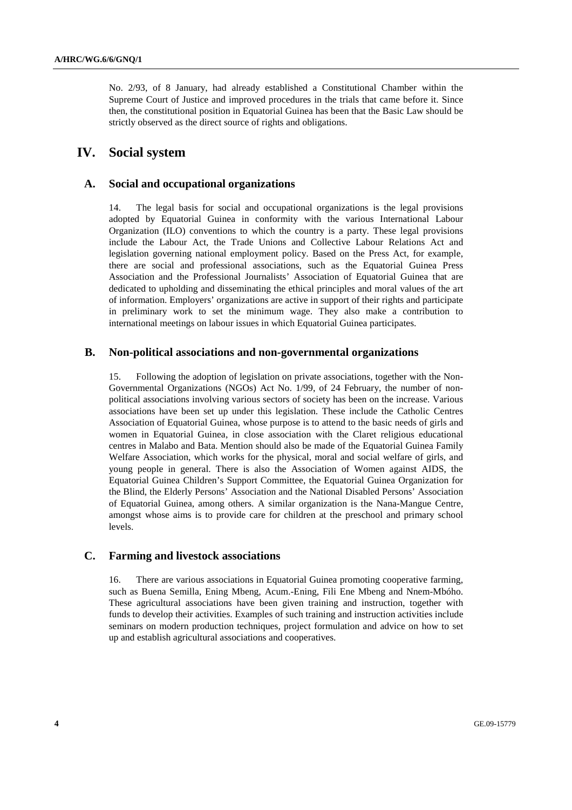No. 2/93, of 8 January, had already established a Constitutional Chamber within the Supreme Court of Justice and improved procedures in the trials that came before it. Since then, the constitutional position in Equatorial Guinea has been that the Basic Law should be strictly observed as the direct source of rights and obligations.

# **IV. Social system**

# **A. Social and occupational organizations**

14. The legal basis for social and occupational organizations is the legal provisions adopted by Equatorial Guinea in conformity with the various International Labour Organization (ILO) conventions to which the country is a party. These legal provisions include the Labour Act, the Trade Unions and Collective Labour Relations Act and legislation governing national employment policy. Based on the Press Act, for example, there are social and professional associations, such as the Equatorial Guinea Press Association and the Professional Journalists' Association of Equatorial Guinea that are dedicated to upholding and disseminating the ethical principles and moral values of the art of information. Employers' organizations are active in support of their rights and participate in preliminary work to set the minimum wage. They also make a contribution to international meetings on labour issues in which Equatorial Guinea participates.

## **B. Non-political associations and non-governmental organizations**

15. Following the adoption of legislation on private associations, together with the Non-Governmental Organizations (NGOs) Act No. 1/99, of 24 February, the number of nonpolitical associations involving various sectors of society has been on the increase. Various associations have been set up under this legislation. These include the Catholic Centres Association of Equatorial Guinea, whose purpose is to attend to the basic needs of girls and women in Equatorial Guinea, in close association with the Claret religious educational centres in Malabo and Bata. Mention should also be made of the Equatorial Guinea Family Welfare Association, which works for the physical, moral and social welfare of girls, and young people in general. There is also the Association of Women against AIDS, the Equatorial Guinea Children's Support Committee, the Equatorial Guinea Organization for the Blind, the Elderly Persons' Association and the National Disabled Persons' Association of Equatorial Guinea, among others. A similar organization is the Nana-Mangue Centre, amongst whose aims is to provide care for children at the preschool and primary school levels.

# **C. Farming and livestock associations**

16. There are various associations in Equatorial Guinea promoting cooperative farming, such as Buena Semilla, Ening Mbeng, Acum.-Ening, Fili Ene Mbeng and Nnem-Mbóho. These agricultural associations have been given training and instruction, together with funds to develop their activities. Examples of such training and instruction activities include seminars on modern production techniques, project formulation and advice on how to set up and establish agricultural associations and cooperatives.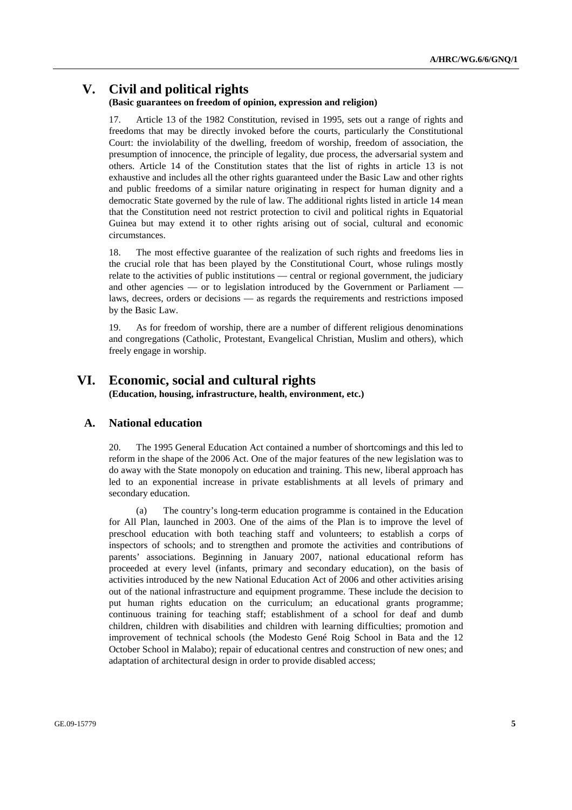# **V. Civil and political rights**

#### **(Basic guarantees on freedom of opinion, expression and religion)**

17. Article 13 of the 1982 Constitution, revised in 1995, sets out a range of rights and freedoms that may be directly invoked before the courts, particularly the Constitutional Court: the inviolability of the dwelling, freedom of worship, freedom of association, the presumption of innocence, the principle of legality, due process, the adversarial system and others. Article 14 of the Constitution states that the list of rights in article 13 is not exhaustive and includes all the other rights guaranteed under the Basic Law and other rights and public freedoms of a similar nature originating in respect for human dignity and a democratic State governed by the rule of law. The additional rights listed in article 14 mean that the Constitution need not restrict protection to civil and political rights in Equatorial Guinea but may extend it to other rights arising out of social, cultural and economic circumstances.

18. The most effective guarantee of the realization of such rights and freedoms lies in the crucial role that has been played by the Constitutional Court, whose rulings mostly relate to the activities of public institutions — central or regional government, the judiciary and other agencies — or to legislation introduced by the Government or Parliament laws, decrees, orders or decisions — as regards the requirements and restrictions imposed by the Basic Law.

19. As for freedom of worship, there are a number of different religious denominations and congregations (Catholic, Protestant, Evangelical Christian, Muslim and others), which freely engage in worship.

## **VI. Economic, social and cultural rights (Education, housing, infrastructure, health, environment, etc.)**

#### **A. National education**

20. The 1995 General Education Act contained a number of shortcomings and this led to reform in the shape of the 2006 Act. One of the major features of the new legislation was to do away with the State monopoly on education and training. This new, liberal approach has led to an exponential increase in private establishments at all levels of primary and secondary education.

 (a) The country's long-term education programme is contained in the Education for All Plan, launched in 2003. One of the aims of the Plan is to improve the level of preschool education with both teaching staff and volunteers; to establish a corps of inspectors of schools; and to strengthen and promote the activities and contributions of parents' associations. Beginning in January 2007, national educational reform has proceeded at every level (infants, primary and secondary education), on the basis of activities introduced by the new National Education Act of 2006 and other activities arising out of the national infrastructure and equipment programme. These include the decision to put human rights education on the curriculum; an educational grants programme; continuous training for teaching staff; establishment of a school for deaf and dumb children, children with disabilities and children with learning difficulties; promotion and improvement of technical schools (the Modesto Gené Roig School in Bata and the 12 October School in Malabo); repair of educational centres and construction of new ones; and adaptation of architectural design in order to provide disabled access;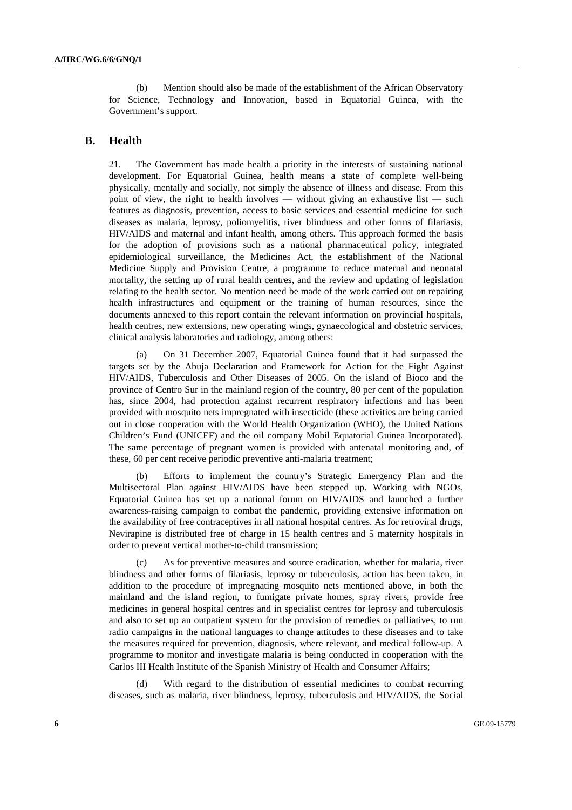(b) Mention should also be made of the establishment of the African Observatory for Science, Technology and Innovation, based in Equatorial Guinea, with the Government's support.

### **B. Health**

21. The Government has made health a priority in the interests of sustaining national development. For Equatorial Guinea, health means a state of complete well-being physically, mentally and socially, not simply the absence of illness and disease. From this point of view, the right to health involves — without giving an exhaustive list — such features as diagnosis, prevention, access to basic services and essential medicine for such diseases as malaria, leprosy, poliomyelitis, river blindness and other forms of filariasis, HIV/AIDS and maternal and infant health, among others. This approach formed the basis for the adoption of provisions such as a national pharmaceutical policy, integrated epidemiological surveillance, the Medicines Act, the establishment of the National Medicine Supply and Provision Centre, a programme to reduce maternal and neonatal mortality, the setting up of rural health centres, and the review and updating of legislation relating to the health sector. No mention need be made of the work carried out on repairing health infrastructures and equipment or the training of human resources, since the documents annexed to this report contain the relevant information on provincial hospitals, health centres, new extensions, new operating wings, gynaecological and obstetric services, clinical analysis laboratories and radiology, among others:

 (a) On 31 December 2007, Equatorial Guinea found that it had surpassed the targets set by the Abuja Declaration and Framework for Action for the Fight Against HIV/AIDS, Tuberculosis and Other Diseases of 2005. On the island of Bioco and the province of Centro Sur in the mainland region of the country, 80 per cent of the population has, since 2004, had protection against recurrent respiratory infections and has been provided with mosquito nets impregnated with insecticide (these activities are being carried out in close cooperation with the World Health Organization (WHO), the United Nations Children's Fund (UNICEF) and the oil company Mobil Equatorial Guinea Incorporated). The same percentage of pregnant women is provided with antenatal monitoring and, of these, 60 per cent receive periodic preventive anti-malaria treatment;

 (b) Efforts to implement the country's Strategic Emergency Plan and the Multisectoral Plan against HIV/AIDS have been stepped up. Working with NGOs, Equatorial Guinea has set up a national forum on HIV/AIDS and launched a further awareness-raising campaign to combat the pandemic, providing extensive information on the availability of free contraceptives in all national hospital centres. As for retroviral drugs, Nevirapine is distributed free of charge in 15 health centres and 5 maternity hospitals in order to prevent vertical mother-to-child transmission;

 (c) As for preventive measures and source eradication, whether for malaria, river blindness and other forms of filariasis, leprosy or tuberculosis, action has been taken, in addition to the procedure of impregnating mosquito nets mentioned above, in both the mainland and the island region, to fumigate private homes, spray rivers, provide free medicines in general hospital centres and in specialist centres for leprosy and tuberculosis and also to set up an outpatient system for the provision of remedies or palliatives, to run radio campaigns in the national languages to change attitudes to these diseases and to take the measures required for prevention, diagnosis, where relevant, and medical follow-up. A programme to monitor and investigate malaria is being conducted in cooperation with the Carlos III Health Institute of the Spanish Ministry of Health and Consumer Affairs;

With regard to the distribution of essential medicines to combat recurring diseases, such as malaria, river blindness, leprosy, tuberculosis and HIV/AIDS, the Social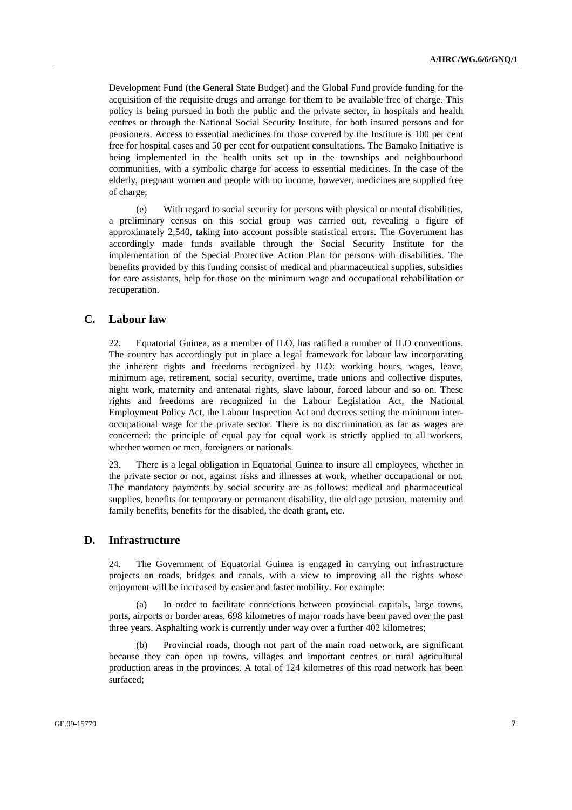Development Fund (the General State Budget) and the Global Fund provide funding for the acquisition of the requisite drugs and arrange for them to be available free of charge. This policy is being pursued in both the public and the private sector, in hospitals and health centres or through the National Social Security Institute, for both insured persons and for pensioners. Access to essential medicines for those covered by the Institute is 100 per cent free for hospital cases and 50 per cent for outpatient consultations. The Bamako Initiative is being implemented in the health units set up in the townships and neighbourhood communities, with a symbolic charge for access to essential medicines. In the case of the elderly, pregnant women and people with no income, however, medicines are supplied free of charge;

 (e) With regard to social security for persons with physical or mental disabilities, a preliminary census on this social group was carried out, revealing a figure of approximately 2,540, taking into account possible statistical errors. The Government has accordingly made funds available through the Social Security Institute for the implementation of the Special Protective Action Plan for persons with disabilities. The benefits provided by this funding consist of medical and pharmaceutical supplies, subsidies for care assistants, help for those on the minimum wage and occupational rehabilitation or recuperation.

### **C. Labour law**

22. Equatorial Guinea, as a member of ILO, has ratified a number of ILO conventions. The country has accordingly put in place a legal framework for labour law incorporating the inherent rights and freedoms recognized by ILO: working hours, wages, leave, minimum age, retirement, social security, overtime, trade unions and collective disputes, night work, maternity and antenatal rights, slave labour, forced labour and so on. These rights and freedoms are recognized in the Labour Legislation Act, the National Employment Policy Act, the Labour Inspection Act and decrees setting the minimum interoccupational wage for the private sector. There is no discrimination as far as wages are concerned: the principle of equal pay for equal work is strictly applied to all workers, whether women or men, foreigners or nationals.

23. There is a legal obligation in Equatorial Guinea to insure all employees, whether in the private sector or not, against risks and illnesses at work, whether occupational or not. The mandatory payments by social security are as follows: medical and pharmaceutical supplies, benefits for temporary or permanent disability, the old age pension, maternity and family benefits, benefits for the disabled, the death grant, etc.

#### **D. Infrastructure**

24. The Government of Equatorial Guinea is engaged in carrying out infrastructure projects on roads, bridges and canals, with a view to improving all the rights whose enjoyment will be increased by easier and faster mobility. For example:

 (a) In order to facilitate connections between provincial capitals, large towns, ports, airports or border areas, 698 kilometres of major roads have been paved over the past three years. Asphalting work is currently under way over a further 402 kilometres;

Provincial roads, though not part of the main road network, are significant because they can open up towns, villages and important centres or rural agricultural production areas in the provinces. A total of 124 kilometres of this road network has been surfaced;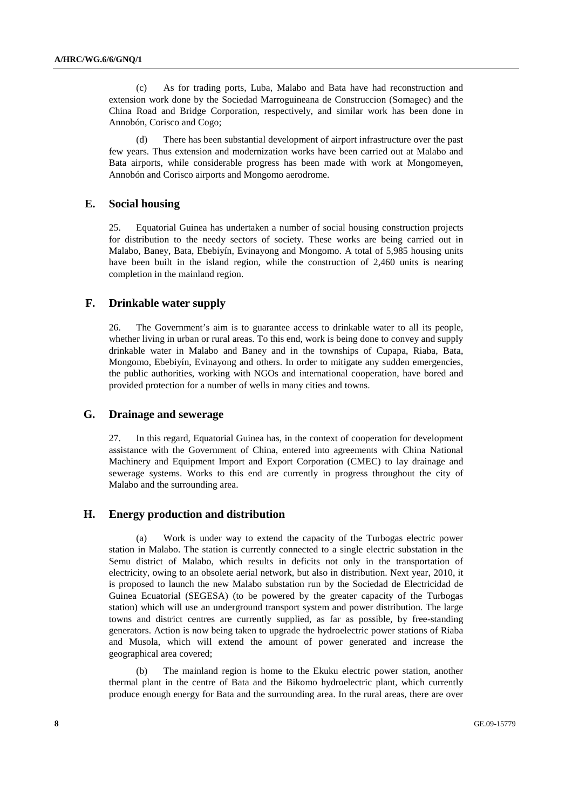(c) As for trading ports, Luba, Malabo and Bata have had reconstruction and extension work done by the Sociedad Marroguineana de Construccion (Somagec) and the China Road and Bridge Corporation, respectively, and similar work has been done in Annobón, Corisco and Cogo;

 (d) There has been substantial development of airport infrastructure over the past few years. Thus extension and modernization works have been carried out at Malabo and Bata airports, while considerable progress has been made with work at Mongomeyen, Annobón and Corisco airports and Mongomo aerodrome.

#### **E. Social housing**

25. Equatorial Guinea has undertaken a number of social housing construction projects for distribution to the needy sectors of society. These works are being carried out in Malabo, Baney, Bata, Ebebiyín, Evinayong and Mongomo. A total of 5,985 housing units have been built in the island region, while the construction of 2,460 units is nearing completion in the mainland region.

## **F. Drinkable water supply**

26. The Government's aim is to guarantee access to drinkable water to all its people, whether living in urban or rural areas. To this end, work is being done to convey and supply drinkable water in Malabo and Baney and in the townships of Cupapa, Riaba, Bata, Mongomo, Ebebiyín, Evinayong and others. In order to mitigate any sudden emergencies, the public authorities, working with NGOs and international cooperation, have bored and provided protection for a number of wells in many cities and towns.

#### **G. Drainage and sewerage**

27. In this regard, Equatorial Guinea has, in the context of cooperation for development assistance with the Government of China, entered into agreements with China National Machinery and Equipment Import and Export Corporation (CMEC) to lay drainage and sewerage systems. Works to this end are currently in progress throughout the city of Malabo and the surrounding area.

#### **H. Energy production and distribution**

 (a) Work is under way to extend the capacity of the Turbogas electric power station in Malabo. The station is currently connected to a single electric substation in the Semu district of Malabo, which results in deficits not only in the transportation of electricity, owing to an obsolete aerial network, but also in distribution. Next year, 2010, it is proposed to launch the new Malabo substation run by the Sociedad de Electricidad de Guinea Ecuatorial (SEGESA) (to be powered by the greater capacity of the Turbogas station) which will use an underground transport system and power distribution. The large towns and district centres are currently supplied, as far as possible, by free-standing generators. Action is now being taken to upgrade the hydroelectric power stations of Riaba and Musola, which will extend the amount of power generated and increase the geographical area covered;

 (b) The mainland region is home to the Ekuku electric power station, another thermal plant in the centre of Bata and the Bikomo hydroelectric plant, which currently produce enough energy for Bata and the surrounding area. In the rural areas, there are over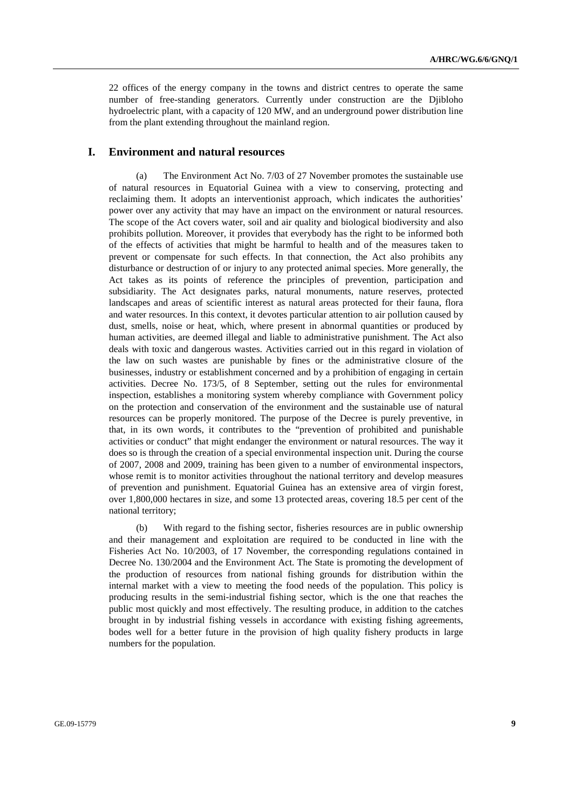22 offices of the energy company in the towns and district centres to operate the same number of free-standing generators. Currently under construction are the Djibloho hydroelectric plant, with a capacity of 120 MW, and an underground power distribution line from the plant extending throughout the mainland region.

### **I. Environment and natural resources**

 (a) The Environment Act No. 7/03 of 27 November promotes the sustainable use of natural resources in Equatorial Guinea with a view to conserving, protecting and reclaiming them. It adopts an interventionist approach, which indicates the authorities' power over any activity that may have an impact on the environment or natural resources. The scope of the Act covers water, soil and air quality and biological biodiversity and also prohibits pollution. Moreover, it provides that everybody has the right to be informed both of the effects of activities that might be harmful to health and of the measures taken to prevent or compensate for such effects. In that connection, the Act also prohibits any disturbance or destruction of or injury to any protected animal species. More generally, the Act takes as its points of reference the principles of prevention, participation and subsidiarity. The Act designates parks, natural monuments, nature reserves, protected landscapes and areas of scientific interest as natural areas protected for their fauna, flora and water resources. In this context, it devotes particular attention to air pollution caused by dust, smells, noise or heat, which, where present in abnormal quantities or produced by human activities, are deemed illegal and liable to administrative punishment. The Act also deals with toxic and dangerous wastes. Activities carried out in this regard in violation of the law on such wastes are punishable by fines or the administrative closure of the businesses, industry or establishment concerned and by a prohibition of engaging in certain activities. Decree No. 173/5, of 8 September, setting out the rules for environmental inspection, establishes a monitoring system whereby compliance with Government policy on the protection and conservation of the environment and the sustainable use of natural resources can be properly monitored. The purpose of the Decree is purely preventive, in that, in its own words, it contributes to the "prevention of prohibited and punishable activities or conduct" that might endanger the environment or natural resources. The way it does so is through the creation of a special environmental inspection unit. During the course of 2007, 2008 and 2009, training has been given to a number of environmental inspectors, whose remit is to monitor activities throughout the national territory and develop measures of prevention and punishment. Equatorial Guinea has an extensive area of virgin forest, over 1,800,000 hectares in size, and some 13 protected areas, covering 18.5 per cent of the national territory;

 (b) With regard to the fishing sector, fisheries resources are in public ownership and their management and exploitation are required to be conducted in line with the Fisheries Act No. 10/2003, of 17 November, the corresponding regulations contained in Decree No. 130/2004 and the Environment Act. The State is promoting the development of the production of resources from national fishing grounds for distribution within the internal market with a view to meeting the food needs of the population. This policy is producing results in the semi-industrial fishing sector, which is the one that reaches the public most quickly and most effectively. The resulting produce, in addition to the catches brought in by industrial fishing vessels in accordance with existing fishing agreements, bodes well for a better future in the provision of high quality fishery products in large numbers for the population.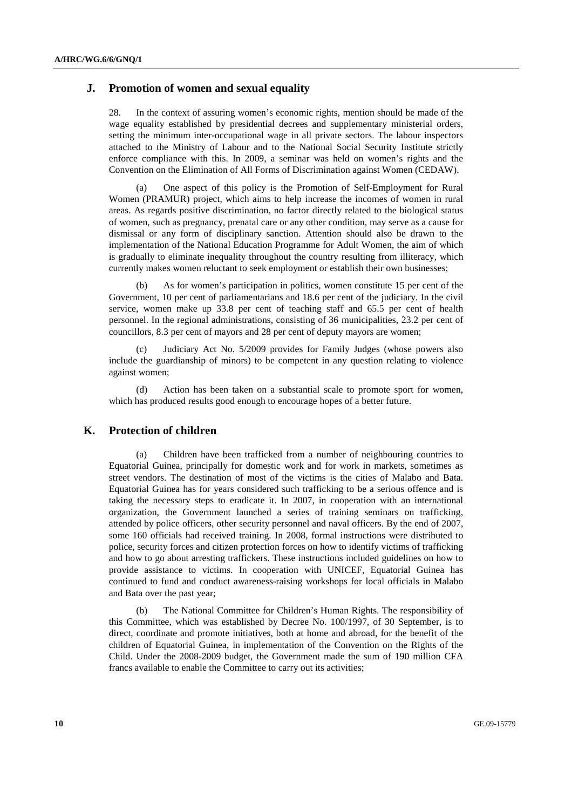## **J. Promotion of women and sexual equality**

28. In the context of assuring women's economic rights, mention should be made of the wage equality established by presidential decrees and supplementary ministerial orders, setting the minimum inter-occupational wage in all private sectors. The labour inspectors attached to the Ministry of Labour and to the National Social Security Institute strictly enforce compliance with this. In 2009, a seminar was held on women's rights and the Convention on the Elimination of All Forms of Discrimination against Women (CEDAW).

 (a) One aspect of this policy is the Promotion of Self-Employment for Rural Women (PRAMUR) project, which aims to help increase the incomes of women in rural areas. As regards positive discrimination, no factor directly related to the biological status of women, such as pregnancy, prenatal care or any other condition, may serve as a cause for dismissal or any form of disciplinary sanction. Attention should also be drawn to the implementation of the National Education Programme for Adult Women, the aim of which is gradually to eliminate inequality throughout the country resulting from illiteracy, which currently makes women reluctant to seek employment or establish their own businesses;

 (b) As for women's participation in politics, women constitute 15 per cent of the Government, 10 per cent of parliamentarians and 18.6 per cent of the judiciary. In the civil service, women make up 33.8 per cent of teaching staff and 65.5 per cent of health personnel. In the regional administrations, consisting of 36 municipalities, 23.2 per cent of councillors, 8.3 per cent of mayors and 28 per cent of deputy mayors are women;

 (c) Judiciary Act No. 5/2009 provides for Family Judges (whose powers also include the guardianship of minors) to be competent in any question relating to violence against women;

 (d) Action has been taken on a substantial scale to promote sport for women, which has produced results good enough to encourage hopes of a better future.

#### **K. Protection of children**

 (a) Children have been trafficked from a number of neighbouring countries to Equatorial Guinea, principally for domestic work and for work in markets, sometimes as street vendors. The destination of most of the victims is the cities of Malabo and Bata. Equatorial Guinea has for years considered such trafficking to be a serious offence and is taking the necessary steps to eradicate it. In 2007, in cooperation with an international organization, the Government launched a series of training seminars on trafficking, attended by police officers, other security personnel and naval officers. By the end of 2007, some 160 officials had received training. In 2008, formal instructions were distributed to police, security forces and citizen protection forces on how to identify victims of trafficking and how to go about arresting traffickers. These instructions included guidelines on how to provide assistance to victims. In cooperation with UNICEF, Equatorial Guinea has continued to fund and conduct awareness-raising workshops for local officials in Malabo and Bata over the past year;

 (b) The National Committee for Children's Human Rights. The responsibility of this Committee, which was established by Decree No. 100/1997, of 30 September, is to direct, coordinate and promote initiatives, both at home and abroad, for the benefit of the children of Equatorial Guinea, in implementation of the Convention on the Rights of the Child. Under the 2008-2009 budget, the Government made the sum of 190 million CFA francs available to enable the Committee to carry out its activities;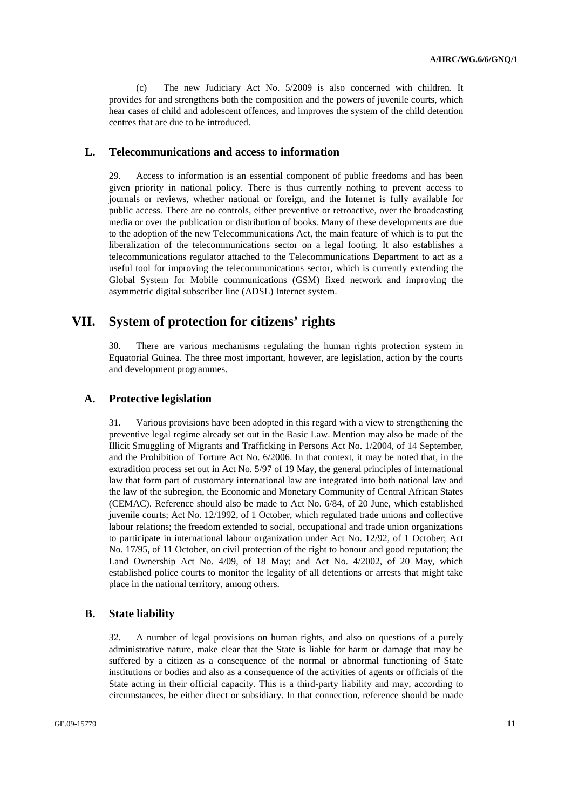(c) The new Judiciary Act No. 5/2009 is also concerned with children. It provides for and strengthens both the composition and the powers of juvenile courts, which hear cases of child and adolescent offences, and improves the system of the child detention centres that are due to be introduced.

### **L. Telecommunications and access to information**

29. Access to information is an essential component of public freedoms and has been given priority in national policy. There is thus currently nothing to prevent access to journals or reviews, whether national or foreign, and the Internet is fully available for public access. There are no controls, either preventive or retroactive, over the broadcasting media or over the publication or distribution of books. Many of these developments are due to the adoption of the new Telecommunications Act, the main feature of which is to put the liberalization of the telecommunications sector on a legal footing. It also establishes a telecommunications regulator attached to the Telecommunications Department to act as a useful tool for improving the telecommunications sector, which is currently extending the Global System for Mobile communications (GSM) fixed network and improving the asymmetric digital subscriber line (ADSL) Internet system.

# **VII. System of protection for citizens' rights**

30. There are various mechanisms regulating the human rights protection system in Equatorial Guinea. The three most important, however, are legislation, action by the courts and development programmes.

#### **A. Protective legislation**

31. Various provisions have been adopted in this regard with a view to strengthening the preventive legal regime already set out in the Basic Law. Mention may also be made of the Illicit Smuggling of Migrants and Trafficking in Persons Act No. 1/2004, of 14 September, and the Prohibition of Torture Act No. 6/2006. In that context, it may be noted that, in the extradition process set out in Act No. 5/97 of 19 May, the general principles of international law that form part of customary international law are integrated into both national law and the law of the subregion, the Economic and Monetary Community of Central African States (CEMAC). Reference should also be made to Act No. 6/84, of 20 June, which established juvenile courts; Act No. 12/1992, of 1 October, which regulated trade unions and collective labour relations; the freedom extended to social, occupational and trade union organizations to participate in international labour organization under Act No. 12/92, of 1 October; Act No. 17/95, of 11 October, on civil protection of the right to honour and good reputation; the Land Ownership Act No. 4/09, of 18 May; and Act No. 4/2002, of 20 May, which established police courts to monitor the legality of all detentions or arrests that might take place in the national territory, among others.

#### **B. State liability**

32. A number of legal provisions on human rights, and also on questions of a purely administrative nature, make clear that the State is liable for harm or damage that may be suffered by a citizen as a consequence of the normal or abnormal functioning of State institutions or bodies and also as a consequence of the activities of agents or officials of the State acting in their official capacity. This is a third-party liability and may, according to circumstances, be either direct or subsidiary. In that connection, reference should be made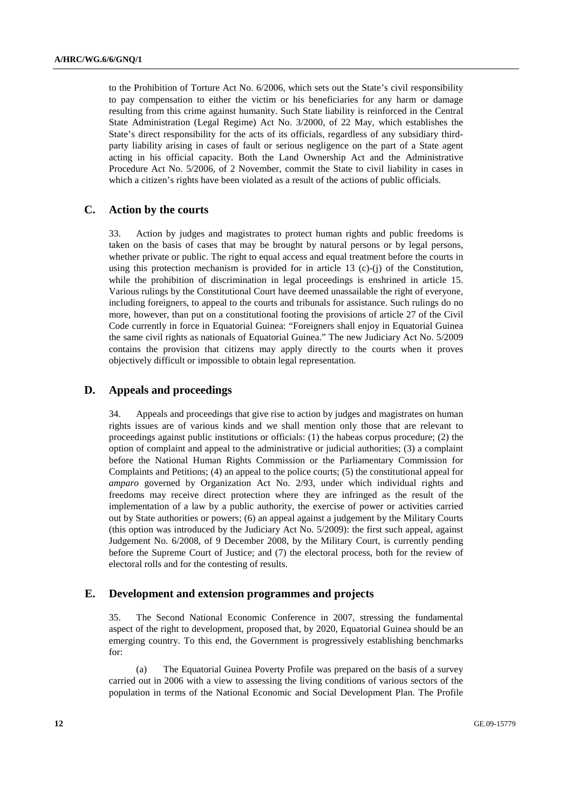to the Prohibition of Torture Act No. 6/2006, which sets out the State's civil responsibility to pay compensation to either the victim or his beneficiaries for any harm or damage resulting from this crime against humanity. Such State liability is reinforced in the Central State Administration (Legal Regime) Act No. 3/2000, of 22 May, which establishes the State's direct responsibility for the acts of its officials, regardless of any subsidiary thirdparty liability arising in cases of fault or serious negligence on the part of a State agent acting in his official capacity. Both the Land Ownership Act and the Administrative Procedure Act No. 5/2006, of 2 November, commit the State to civil liability in cases in which a citizen's rights have been violated as a result of the actions of public officials.

## **C. Action by the courts**

33. Action by judges and magistrates to protect human rights and public freedoms is taken on the basis of cases that may be brought by natural persons or by legal persons, whether private or public. The right to equal access and equal treatment before the courts in using this protection mechanism is provided for in article 13 (c)-(j) of the Constitution, while the prohibition of discrimination in legal proceedings is enshrined in article 15. Various rulings by the Constitutional Court have deemed unassailable the right of everyone, including foreigners, to appeal to the courts and tribunals for assistance. Such rulings do no more, however, than put on a constitutional footing the provisions of article 27 of the Civil Code currently in force in Equatorial Guinea: "Foreigners shall enjoy in Equatorial Guinea the same civil rights as nationals of Equatorial Guinea." The new Judiciary Act No. 5/2009 contains the provision that citizens may apply directly to the courts when it proves objectively difficult or impossible to obtain legal representation.

### **D. Appeals and proceedings**

34. Appeals and proceedings that give rise to action by judges and magistrates on human rights issues are of various kinds and we shall mention only those that are relevant to proceedings against public institutions or officials: (1) the habeas corpus procedure; (2) the option of complaint and appeal to the administrative or judicial authorities; (3) a complaint before the National Human Rights Commission or the Parliamentary Commission for Complaints and Petitions; (4) an appeal to the police courts; (5) the constitutional appeal for *amparo* governed by Organization Act No. 2/93, under which individual rights and freedoms may receive direct protection where they are infringed as the result of the implementation of a law by a public authority, the exercise of power or activities carried out by State authorities or powers; (6) an appeal against a judgement by the Military Courts (this option was introduced by the Judiciary Act No. 5/2009): the first such appeal, against Judgement No. 6/2008, of 9 December 2008, by the Military Court, is currently pending before the Supreme Court of Justice; and (7) the electoral process, both for the review of electoral rolls and for the contesting of results.

#### **E. Development and extension programmes and projects**

35. The Second National Economic Conference in 2007, stressing the fundamental aspect of the right to development, proposed that, by 2020, Equatorial Guinea should be an emerging country. To this end, the Government is progressively establishing benchmarks for:

 (a) The Equatorial Guinea Poverty Profile was prepared on the basis of a survey carried out in 2006 with a view to assessing the living conditions of various sectors of the population in terms of the National Economic and Social Development Plan. The Profile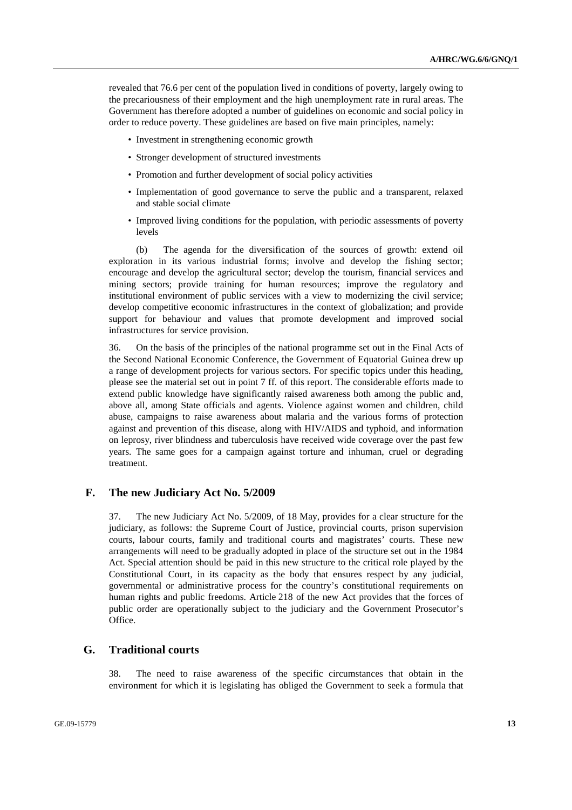revealed that 76.6 per cent of the population lived in conditions of poverty, largely owing to the precariousness of their employment and the high unemployment rate in rural areas. The Government has therefore adopted a number of guidelines on economic and social policy in order to reduce poverty. These guidelines are based on five main principles, namely:

- Investment in strengthening economic growth
- Stronger development of structured investments
- Promotion and further development of social policy activities
- Implementation of good governance to serve the public and a transparent, relaxed and stable social climate
- Improved living conditions for the population, with periodic assessments of poverty levels

 (b) The agenda for the diversification of the sources of growth: extend oil exploration in its various industrial forms; involve and develop the fishing sector; encourage and develop the agricultural sector; develop the tourism, financial services and mining sectors; provide training for human resources; improve the regulatory and institutional environment of public services with a view to modernizing the civil service; develop competitive economic infrastructures in the context of globalization; and provide support for behaviour and values that promote development and improved social infrastructures for service provision.

36. On the basis of the principles of the national programme set out in the Final Acts of the Second National Economic Conference, the Government of Equatorial Guinea drew up a range of development projects for various sectors. For specific topics under this heading, please see the material set out in point 7 ff. of this report. The considerable efforts made to extend public knowledge have significantly raised awareness both among the public and, above all, among State officials and agents. Violence against women and children, child abuse, campaigns to raise awareness about malaria and the various forms of protection against and prevention of this disease, along with HIV/AIDS and typhoid, and information on leprosy, river blindness and tuberculosis have received wide coverage over the past few years. The same goes for a campaign against torture and inhuman, cruel or degrading treatment.

#### **F. The new Judiciary Act No. 5/2009**

37. The new Judiciary Act No. 5/2009, of 18 May, provides for a clear structure for the judiciary, as follows: the Supreme Court of Justice, provincial courts, prison supervision courts, labour courts, family and traditional courts and magistrates' courts. These new arrangements will need to be gradually adopted in place of the structure set out in the 1984 Act. Special attention should be paid in this new structure to the critical role played by the Constitutional Court, in its capacity as the body that ensures respect by any judicial, governmental or administrative process for the country's constitutional requirements on human rights and public freedoms. Article 218 of the new Act provides that the forces of public order are operationally subject to the judiciary and the Government Prosecutor's Office.

### **G. Traditional courts**

38. The need to raise awareness of the specific circumstances that obtain in the environment for which it is legislating has obliged the Government to seek a formula that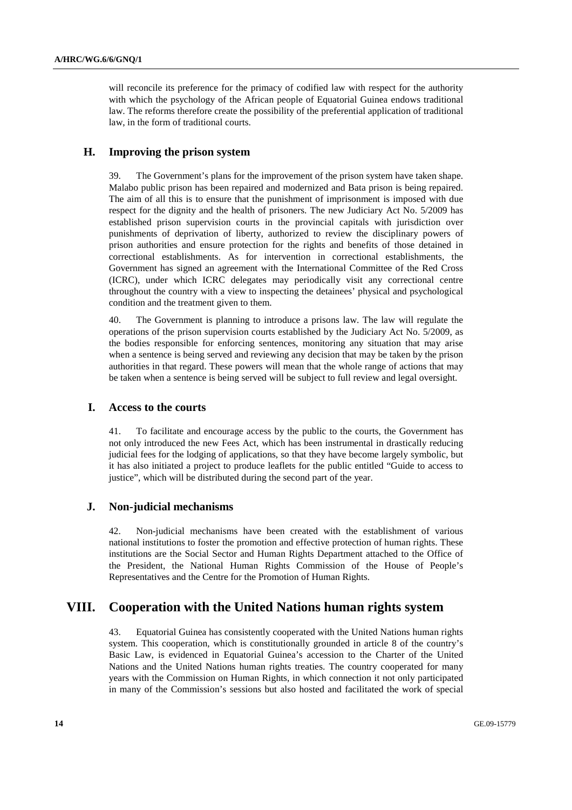will reconcile its preference for the primacy of codified law with respect for the authority with which the psychology of the African people of Equatorial Guinea endows traditional law. The reforms therefore create the possibility of the preferential application of traditional law, in the form of traditional courts.

# **H. Improving the prison system**

39. The Government's plans for the improvement of the prison system have taken shape. Malabo public prison has been repaired and modernized and Bata prison is being repaired. The aim of all this is to ensure that the punishment of imprisonment is imposed with due respect for the dignity and the health of prisoners. The new Judiciary Act No. 5/2009 has established prison supervision courts in the provincial capitals with jurisdiction over punishments of deprivation of liberty, authorized to review the disciplinary powers of prison authorities and ensure protection for the rights and benefits of those detained in correctional establishments. As for intervention in correctional establishments, the Government has signed an agreement with the International Committee of the Red Cross (ICRC), under which ICRC delegates may periodically visit any correctional centre throughout the country with a view to inspecting the detainees' physical and psychological condition and the treatment given to them.

40. The Government is planning to introduce a prisons law. The law will regulate the operations of the prison supervision courts established by the Judiciary Act No. 5/2009, as the bodies responsible for enforcing sentences, monitoring any situation that may arise when a sentence is being served and reviewing any decision that may be taken by the prison authorities in that regard. These powers will mean that the whole range of actions that may be taken when a sentence is being served will be subject to full review and legal oversight.

## **I. Access to the courts**

41. To facilitate and encourage access by the public to the courts, the Government has not only introduced the new Fees Act, which has been instrumental in drastically reducing judicial fees for the lodging of applications, so that they have become largely symbolic, but it has also initiated a project to produce leaflets for the public entitled "Guide to access to justice", which will be distributed during the second part of the year.

## **J. Non-judicial mechanisms**

42. Non-judicial mechanisms have been created with the establishment of various national institutions to foster the promotion and effective protection of human rights. These institutions are the Social Sector and Human Rights Department attached to the Office of the President, the National Human Rights Commission of the House of People's Representatives and the Centre for the Promotion of Human Rights.

# **VIII. Cooperation with the United Nations human rights system**

43. Equatorial Guinea has consistently cooperated with the United Nations human rights system. This cooperation, which is constitutionally grounded in article 8 of the country's Basic Law, is evidenced in Equatorial Guinea's accession to the Charter of the United Nations and the United Nations human rights treaties. The country cooperated for many years with the Commission on Human Rights, in which connection it not only participated in many of the Commission's sessions but also hosted and facilitated the work of special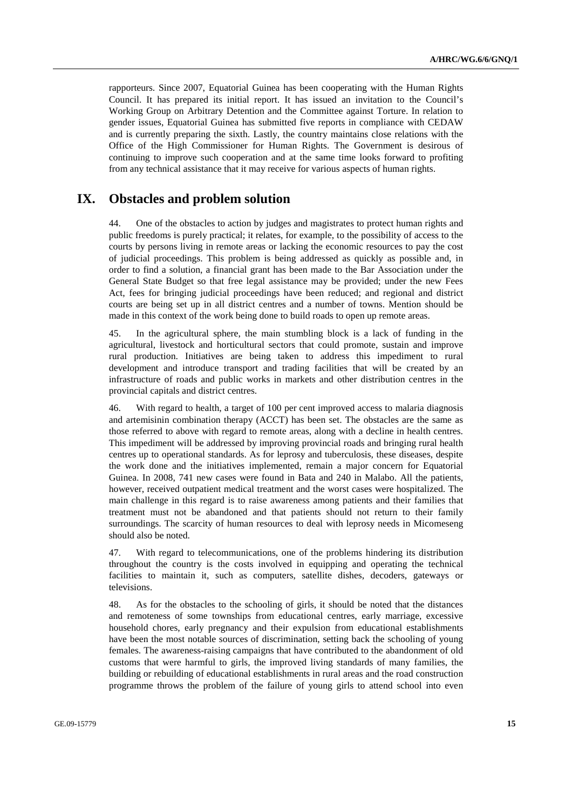rapporteurs. Since 2007, Equatorial Guinea has been cooperating with the Human Rights Council. It has prepared its initial report. It has issued an invitation to the Council's Working Group on Arbitrary Detention and the Committee against Torture. In relation to gender issues, Equatorial Guinea has submitted five reports in compliance with CEDAW and is currently preparing the sixth. Lastly, the country maintains close relations with the Office of the High Commissioner for Human Rights. The Government is desirous of continuing to improve such cooperation and at the same time looks forward to profiting from any technical assistance that it may receive for various aspects of human rights.

# **IX. Obstacles and problem solution**

44. One of the obstacles to action by judges and magistrates to protect human rights and public freedoms is purely practical; it relates, for example, to the possibility of access to the courts by persons living in remote areas or lacking the economic resources to pay the cost of judicial proceedings. This problem is being addressed as quickly as possible and, in order to find a solution, a financial grant has been made to the Bar Association under the General State Budget so that free legal assistance may be provided; under the new Fees Act, fees for bringing judicial proceedings have been reduced; and regional and district courts are being set up in all district centres and a number of towns. Mention should be made in this context of the work being done to build roads to open up remote areas.

45. In the agricultural sphere, the main stumbling block is a lack of funding in the agricultural, livestock and horticultural sectors that could promote, sustain and improve rural production. Initiatives are being taken to address this impediment to rural development and introduce transport and trading facilities that will be created by an infrastructure of roads and public works in markets and other distribution centres in the provincial capitals and district centres.

46. With regard to health, a target of 100 per cent improved access to malaria diagnosis and artemisinin combination therapy (ACCT) has been set. The obstacles are the same as those referred to above with regard to remote areas, along with a decline in health centres. This impediment will be addressed by improving provincial roads and bringing rural health centres up to operational standards. As for leprosy and tuberculosis, these diseases, despite the work done and the initiatives implemented, remain a major concern for Equatorial Guinea. In 2008, 741 new cases were found in Bata and 240 in Malabo. All the patients, however, received outpatient medical treatment and the worst cases were hospitalized. The main challenge in this regard is to raise awareness among patients and their families that treatment must not be abandoned and that patients should not return to their family surroundings. The scarcity of human resources to deal with leprosy needs in Micomeseng should also be noted.

47. With regard to telecommunications, one of the problems hindering its distribution throughout the country is the costs involved in equipping and operating the technical facilities to maintain it, such as computers, satellite dishes, decoders, gateways or televisions.

48. As for the obstacles to the schooling of girls, it should be noted that the distances and remoteness of some townships from educational centres, early marriage, excessive household chores, early pregnancy and their expulsion from educational establishments have been the most notable sources of discrimination, setting back the schooling of young females. The awareness-raising campaigns that have contributed to the abandonment of old customs that were harmful to girls, the improved living standards of many families, the building or rebuilding of educational establishments in rural areas and the road construction programme throws the problem of the failure of young girls to attend school into even